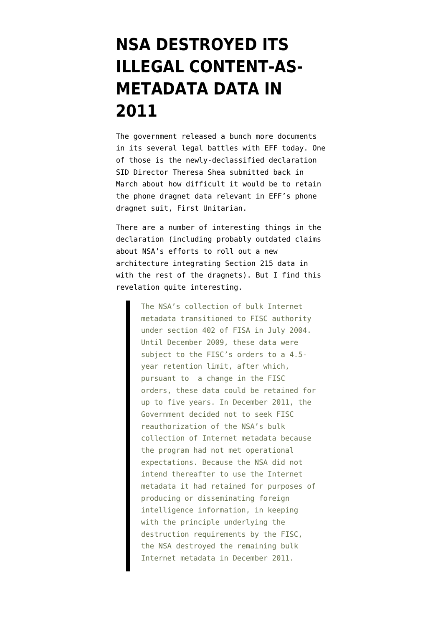## **[NSA DESTROYED ITS](https://www.emptywheel.net/2014/05/06/nsa-destroyed-its-illegal-content-as-metadata-data-in-2011/) [ILLEGAL CONTENT-AS-](https://www.emptywheel.net/2014/05/06/nsa-destroyed-its-illegal-content-as-metadata-data-in-2011/)[METADATA DATA IN](https://www.emptywheel.net/2014/05/06/nsa-destroyed-its-illegal-content-as-metadata-data-in-2011/) [2011](https://www.emptywheel.net/2014/05/06/nsa-destroyed-its-illegal-content-as-metadata-data-in-2011/)**

The government released a bunch more documents in its several legal battles with EFF today. One of those is the [newly-declassified declaration](https://www.eff.org/files/2014/05/06/228_unclassified_shea_decl_3.17.14.pdf) SID Director Theresa Shea submitted back in March about how difficult it would be to retain the phone dragnet data relevant in EFF's phone dragnet suit, First Unitarian.

There are a number of interesting things in the declaration (including probably outdated claims about NSA's efforts to roll out a new architecture integrating Section 215 data in with the rest of the dragnets). But I find this revelation quite interesting.

> The NSA's collection of bulk Internet metadata transitioned to FISC authority under section 402 of FISA in July 2004. Until December 2009, these data were subject to the FISC's orders to a 4.5 year retention limit, after which, pursuant to a change in the FISC orders, these data could be retained for up to five years. In December 2011, the Government decided not to seek FISC reauthorization of the NSA's bulk collection of Internet metadata because the program had not met operational expectations. Because the NSA did not intend thereafter to use the Internet metadata it had retained for purposes of producing or disseminating foreign intelligence information, in keeping with the principle underlying the destruction requirements by the FISC, the NSA destroyed the remaining bulk Internet metadata in December 2011.